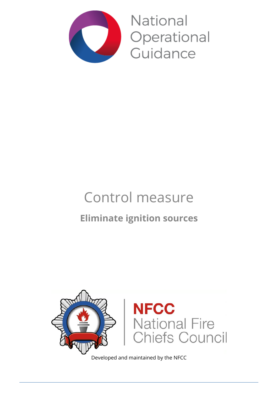

National Operational Guidance

# Control measure **Eliminate ignition sources**



Developed and maintained by the NFCC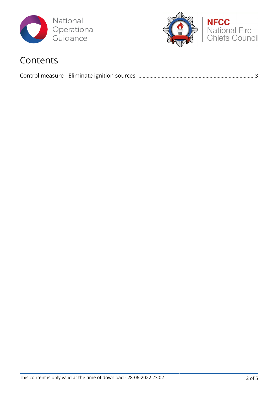



### Contents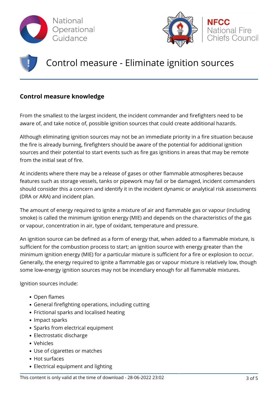



## Control measure - Eliminate ignition sources

#### **Control measure knowledge**

From the smallest to the largest incident, the incident commander and firefighters need to be aware of, and take notice of, possible ignition sources that could create additional hazards.

Although eliminating ignition sources may not be an immediate priority in a fire situation because the fire is already burning, firefighters should be aware of the potential for additional ignition sources and their potential to start events such as fire gas ignitions in areas that may be remote from the initial seat of fire.

At incidents where there may be a release of gases or other flammable atmospheres because features such as storage vessels, tanks or pipework may fail or be damaged, incident commanders should consider this a concern and identify it in the incident dynamic or analytical risk assessments (DRA or ARA) and incident plan.

The amount of energy required to ignite a mixture of air and flammable gas or vapour (including smoke) is called the minimum ignition energy (MIE) and depends on the characteristics of the gas or vapour, concentration in air, type of oxidant, temperature and pressure.

An ignition source can be defined as a form of energy that, when added to a flammable mixture, is sufficient for the combustion process to start; an ignition source with energy greater than the minimum ignition energy (MIE) for a particular mixture is sufficient for a fire or explosion to occur. Generally, the energy required to ignite a flammable gas or vapour mixture is relatively low, though some low-energy ignition sources may not be incendiary enough for all flammable mixtures.

Ignition sources include:

- Open flames
- General firefighting operations, including cutting
- Frictional sparks and localised heating
- Impact sparks
- Sparks from electrical equipment
- Electrostatic discharge
- Vehicles
- Use of cigarettes or matches
- Hot surfaces
- Electrical equipment and lighting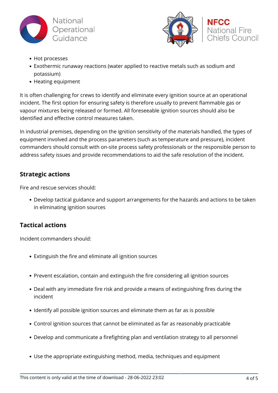



- Hot processes
- Exothermic runaway reactions (water applied to reactive metals such as sodium and potassium)
- Heating equipment

It is often challenging for crews to identify and eliminate every ignition source at an operational incident. The first option for ensuring safety is therefore usually to prevent flammable gas or vapour mixtures being released or formed. All foreseeable ignition sources should also be identified and effective control measures taken.

In industrial premises, depending on the ignition sensitivity of the materials handled, the types of equipment involved and the process parameters (such as temperature and pressure), incident commanders should consult with on-site process safety professionals or the responsible person to address safety issues and provide recommendations to aid the safe resolution of the incident.

#### **Strategic actions**

Fire and rescue services should:

Develop tactical guidance and support arrangements for the hazards and actions to be taken in eliminating ignition sources

#### **Tactical actions**

Incident commanders should:

- Extinguish the fire and eliminate all ignition sources
- Prevent escalation, contain and extinguish the fire considering all ignition sources
- Deal with any immediate fire risk and provide a means of extinguishing fires during the incident
- Identify all possible ignition sources and eliminate them as far as is possible
- Control ignition sources that cannot be eliminated as far as reasonably practicable
- Develop and communicate a firefighting plan and ventilation strategy to all personnel
- Use the appropriate extinguishing method, media, techniques and equipment